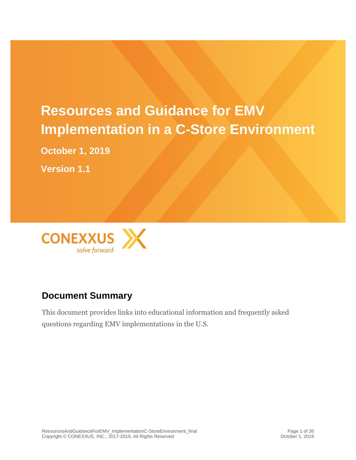# **Resources and Guidance for EMV Implementation in a C-Store Environment**

**October 1, 2019**

**Version 1.1**



# **Document Summary**

This document provides links into educational information and frequently asked questions regarding EMV implementations in the U.S.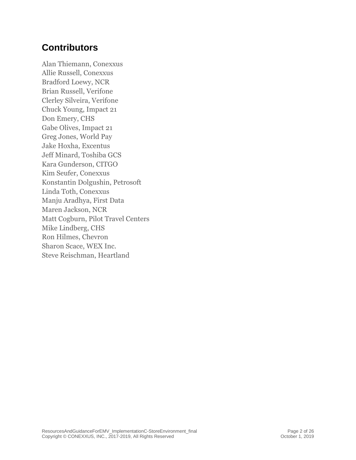# **Contributors**

Alan Thiemann, Conexxus Allie Russell, Conexxus Bradford Loewy, NCR Brian Russell, Verifone Clerley Silveira, Verifone Chuck Young, Impact 21 Don Emery, CHS Gabe Olives, Impact 21 Greg Jones, World Pay Jake Hoxha, Excentus Jeff Minard, Toshiba GCS Kara Gunderson, CITGO Kim Seufer, Conexxus Konstantin Dolgushin, Petrosoft Linda Toth, Conexxus Manju Aradhya, First Data Maren Jackson, NCR Matt Cogburn, Pilot Travel Centers Mike Lindberg, CHS Ron Hilmes, Chevron Sharon Scace, WEX Inc. Steve Reischman, Heartland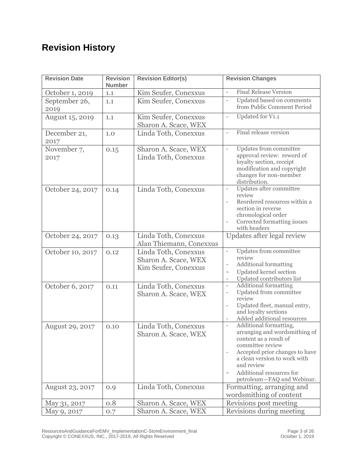# **Revision History**

| <b>Revision Date</b>   | <b>Revision</b><br><b>Number</b> | <b>Revision Editor(s)</b>                                            | <b>Revision Changes</b>                                                                                                                                                                                                                                                     |  |
|------------------------|----------------------------------|----------------------------------------------------------------------|-----------------------------------------------------------------------------------------------------------------------------------------------------------------------------------------------------------------------------------------------------------------------------|--|
| October 1, 2019        | 1.1                              | Kim Seufer, Conexxus                                                 | <b>Final Release Version</b><br>$\bar{a}$                                                                                                                                                                                                                                   |  |
| September 26,<br>2019  | 1.1                              | Kim Seufer, Conexxus                                                 | Updated based on comments<br>$\equiv$<br>from Public Comment Period                                                                                                                                                                                                         |  |
| August 15, 2019        | 1.1                              | Kim Seufer, Conexxus<br>Sharon A. Scace, WEX                         | Updated for V1.1<br>$\overline{\phantom{a}}$                                                                                                                                                                                                                                |  |
| December 21,<br>2017   | 1.0                              | Linda Toth, Conexxus                                                 | Final release version<br>$\equiv$                                                                                                                                                                                                                                           |  |
| November 7,<br>2017    | 0.15                             | Sharon A. Scace, WEX<br>Linda Toth, Conexxus                         | Updates from committee<br>$\bar{a}$<br>approval review: reword of<br>loyalty section, receipt<br>modification and copyright<br>changes for non-member<br>distribution.                                                                                                      |  |
| October 24, 2017       | 0.14                             | Linda Toth, Conexxus                                                 | Updates after committee<br>$\overline{\phantom{a}}$<br>review<br>Reordered resources within a<br>section in reverse<br>chronological order<br>Corrected formatting issues<br>with headers                                                                                   |  |
| October 24, 2017       | 0.13                             | Linda Toth, Conexxus<br>Alan Thiemann, Conexxus                      | Updates after legal review                                                                                                                                                                                                                                                  |  |
| October 10, 2017       | 0.12                             | Linda Toth, Conexxus<br>Sharon A. Scace, WEX<br>Kim Seufer, Conexxus | Updates from committee<br>$\equiv$<br>review<br>Additional formatting<br>$\overline{\phantom{a}}$<br>Updated kernel section<br>Updated contributors list<br>$\overline{\phantom{a}}$                                                                                        |  |
| October 6, 2017        | 0.11                             | Linda Toth, Conexxus<br>Sharon A. Scace, WEX                         | <b>Additional formatting</b><br>$\overline{\phantom{a}}$<br>Updated from committee<br>$\qquad \qquad -$<br>review<br>Updated fleet, manual entry,<br>$\overline{\phantom{a}}$<br>and loyalty sections<br>Added additional resources<br>$\overline{\phantom{a}}$             |  |
| <b>August 29, 2017</b> | 0.10                             | Linda Toth, Conexxus<br>Sharon A. Scace, WEX                         | Additional formatting,<br>$\overline{\phantom{a}}$<br>arranging and wordsmithing of<br>content as a result of<br>committee review<br>Accepted prior changes to have<br>a clean version to work with<br>and review<br>Additional resources for<br>petroleum-FAQ and Webinar. |  |
| August 23, 2017        | 0.9                              | Linda Toth, Conexxus                                                 | Formatting, arranging and<br>wordsmithing of content                                                                                                                                                                                                                        |  |
| May 31, 2017           | 0.8                              | Sharon A. Scace, WEX                                                 | Revisions post meeting                                                                                                                                                                                                                                                      |  |
| May 9, 2017            | 0.7                              | Sharon A. Scace, WEX                                                 | Revisions during meeting                                                                                                                                                                                                                                                    |  |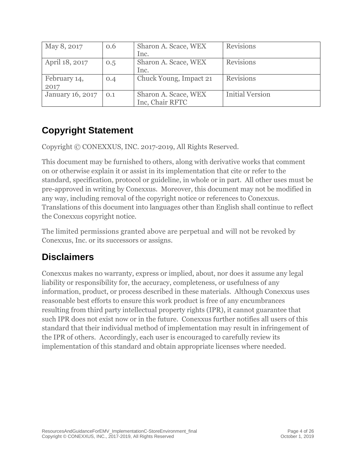| May 8, 2017             | 0.6 | Sharon A. Scace, WEX   | <b>Revisions</b>       |
|-------------------------|-----|------------------------|------------------------|
|                         |     | Inc.                   |                        |
| April 18, 2017          | 0.5 | Sharon A. Scace, WEX   | <b>Revisions</b>       |
|                         |     | Inc.                   |                        |
| February 14,            | 0.4 | Chuck Young, Impact 21 | <b>Revisions</b>       |
| 2017                    |     |                        |                        |
| <b>January 16, 2017</b> | 0.1 | Sharon A. Scace, WEX   | <b>Initial Version</b> |
|                         |     | Inc, Chair RFTC        |                        |

# **Copyright Statement**

Copyright © CONEXXUS, INC. 2017-2019, All Rights Reserved.

This document may be furnished to others, along with derivative works that comment on or otherwise explain it or assist in its implementation that cite or refer to the standard, specification, protocol or guideline, in whole or in part. All other uses must be pre-approved in writing by Conexxus. Moreover, this document may not be modified in any way, including removal of the copyright notice or references to Conexxus. Translations of this document into languages other than English shall continue to reflect the Conexxus copyright notice.

The limited permissions granted above are perpetual and will not be revoked by Conexxus, Inc. or its successors or assigns.

# **Disclaimers**

Conexxus makes no warranty, express or implied, about, nor does it assume any legal liability or responsibility for, the accuracy, completeness, or usefulness of any information, product, or process described in these materials. Although Conexxus uses reasonable best efforts to ensure this work product is free of any encumbrances resulting from third party intellectual property rights (IPR), it cannot guarantee that such IPR does not exist now or in the future. Conexxus further notifies all users of this standard that their individual method of implementation may result in infringement of the IPR of others. Accordingly, each user is encouraged to carefully review its implementation of this standard and obtain appropriate licenses where needed.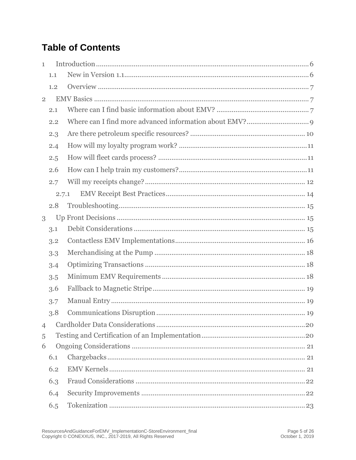# **Table of Contents**

| $\mathbf{1}$   |       |  |
|----------------|-------|--|
|                | 1.1   |  |
|                | 1.2   |  |
| $\overline{2}$ |       |  |
|                | 2.1   |  |
|                | 2.2   |  |
|                | 2.3   |  |
|                | 2.4   |  |
|                | 2.5   |  |
|                | 2.6   |  |
|                | 2.7   |  |
|                | 2.7.1 |  |
|                | 2.8   |  |
| 3              |       |  |
|                | 3.1   |  |
|                | 3.2   |  |
|                | 3.3   |  |
|                | 3.4   |  |
|                | 3.5   |  |
|                | 3.6   |  |
|                | 3.7   |  |
|                | 3.8   |  |
| $\overline{4}$ |       |  |
| 5              |       |  |
| 6              |       |  |
|                | 6.1   |  |
|                | 6.2   |  |
|                | 6.3   |  |
|                | 6.4   |  |
|                | 6.5   |  |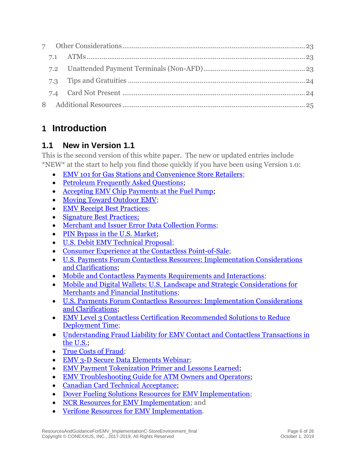# <span id="page-5-0"></span>**1 Introduction**

# <span id="page-5-1"></span>**1.1 New in Version 1.1**

This is the second version of this white paper. The new or updated entries include \*NEW\* at the start to help you find those quickly if you have been using Version 1.0:

- [EMV 101 for Gas Stations and Convenience Store Retailers;](https://www.conexxus.org/content/emv-101-gas-station-and-convenience-store-retailers)
- [Petroleum Frequently Asked Questions;](http://www.uspaymentsforum.org/petroleum-industry-emv-faq/)
- [Accepting EMV Chip Payments at the Fuel Pump;](https://www.conexxus.org/content/2017-september-conexxus-and-us-payments-forum-emv-webinar)
- [Moving Toward Outdoor EMV;](https://www.conexxus.org/webinars/moving-toward-outdoor-emv)
- [EMV Receipt Best Practices;](https://www.uspaymentsforum.org/emv-receipt-best-practices/)
- [Signature Best Practices;](https://www.uspaymentsforum.org/signature-best-practices/)
- [Merchant and Issuer Error Data Collection Forms;](https://www.uspaymentsforum.org/merchant-and-issuer-error-data-collection-forms/)
- [PIN Bypass in the U.S. Market;](https://www.uspaymentsforum.org/pin-bypass-in-the-u-s-market/)
- [U.S. Debit EMV Technical Proposal;](https://www.uspaymentsforum.org/u-s-debit-emv-technical-proposal/)
- [Consumer Experience at the Contactless Point-of-Sale;](https://www.uspaymentsforum.org/consumer-experience-at-the-contactless-point-of-sale/)
- [U.S. Payments Forum Contactless Resources: Implementation Considerations](file:///C:/Users/kaseufer/AppData/Local/Microsoft/Windows/INetCache/Content.Outlook/GR0IJ6ZB/•%09https:/www.uspaymentsforum.org/u-s-payments-forum-contactless-resources-implementation-considerations-and-clarifications/)  [and Clarifications;](file:///C:/Users/kaseufer/AppData/Local/Microsoft/Windows/INetCache/Content.Outlook/GR0IJ6ZB/•%09https:/www.uspaymentsforum.org/u-s-payments-forum-contactless-resources-implementation-considerations-and-clarifications/)
- [Mobile and Contactless Payments Requirements and Interactions;](https://www.uspaymentsforum.org/mobile-and-contactless-payments-requirements-and-interactions/)
- [Mobile and Digital Wallets: U.S. Landscape and Strategic Considerations for](https://www.uspaymentsforum.org/mobile-and-digital-wallets-u-s-landscape-and-strategic-considerations-for-merchants-and-financial-institutions/)  [Merchants and Financial Institutions;](https://www.uspaymentsforum.org/mobile-and-digital-wallets-u-s-landscape-and-strategic-considerations-for-merchants-and-financial-institutions/)
- [U.S. Payments Forum Contactless Resources: Implementation Considerations](file:///C:/Users/kaseufer/AppData/Local/Microsoft/Windows/INetCache/Content.Outlook/GR0IJ6ZB/•%09https:/www.uspaymentsforum.org/u-s-payments-forum-contactless-resources-implementation-considerations-and-clarifications/)  [and Clarifications;](file:///C:/Users/kaseufer/AppData/Local/Microsoft/Windows/INetCache/Content.Outlook/GR0IJ6ZB/•%09https:/www.uspaymentsforum.org/u-s-payments-forum-contactless-resources-implementation-considerations-and-clarifications/)
- EMV Level 3 Contactless Certification Recommended Solutions to Reduce [Deployment Time;](https://www.uspaymentsforum.org/emv-level-3-contactless-certification-recommended-solutions-to-reduce-deployment-time/)
- [Understanding Fraud Liability for EMV Contact and Contactless Transactions in](https://www.uspaymentsforum.org/understanding-the-u-s-emv-fraud-liability-shifts/)  [the U.S.;](https://www.uspaymentsforum.org/understanding-the-u-s-emv-fraud-liability-shifts/)
- [True Costs of Fraud;](https://www.uspaymentsforum.org/true-costs-of-fraud/)
- [EMV 3-D Secure Data Elements Webinar;](https://www.uspaymentsforum.org/emv-3-d-secure-data-elements-webinar/)
- [EMV Payment Tokenization Primer and Lessons Learned;](https://www.uspaymentsforum.org/emv-payment-tokenization-primer-and-lessons-learned/)
- [EMV Troubleshooting Guide for ATM Owners and Operators;](https://www.uspaymentsforum.org/emv-troubleshooting-guide-for-atm-owners-and-operators/)
- Canadian Card Technical Acceptance:
- [Dover Fueling Solutions Resources for EMV Implementation;](https://pages.services/emv.doverfuelingsolutions.com/emvmicrosite)
- [NCR Resources for EMV Implementation;](https://www.ncr.com/retail/convenience-fuel-retail/outdoor-payment-terminals/stop-fraud) and
- [Verifone Resources for EMV Implementation.](https://www.verifone.com/en/us/emv)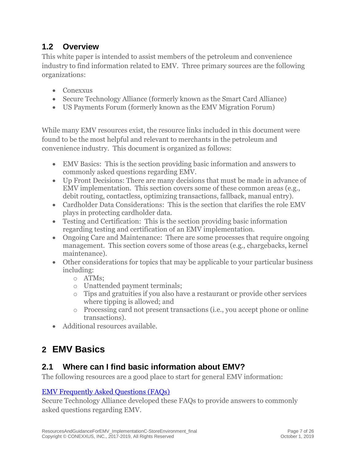# <span id="page-6-0"></span>**1.2 Overview**

This white paper is intended to assist members of the petroleum and convenience industry to find information related to EMV. Three primary sources are the following organizations:

- Conexxus
- Secure Technology Alliance (formerly known as the Smart Card Alliance)
- US Payments Forum (formerly known as the EMV Migration Forum)

While many EMV resources exist, the resource links included in this document were found to be the most helpful and relevant to merchants in the petroleum and convenience industry. This document is organized as follows:

- EMV Basics: This is the section providing basic information and answers to commonly asked questions regarding EMV.
- Up Front Decisions: There are many decisions that must be made in advance of EMV implementation. This section covers some of these common areas (e.g., debit routing, contactless, optimizing transactions, fallback, manual entry).
- Cardholder Data Considerations: This is the section that clarifies the role EMV plays in protecting cardholder data.
- Testing and Certification: This is the section providing basic information regarding testing and certification of an EMV implementation.
- Ongoing Care and Maintenance: There are some processes that require ongoing management. This section covers some of those areas (e.g., chargebacks, kernel maintenance).
- Other considerations for topics that may be applicable to your particular business including:
	- o ATMs;
	- o Unattended payment terminals;
	- o Tips and gratuities if you also have a restaurant or provide other services where tipping is allowed; and
	- o Processing card not present transactions (i.e., you accept phone or online transactions).
- Additional resources available.

# <span id="page-6-1"></span>**2 EMV Basics**

### <span id="page-6-2"></span>**2.1 Where can I find basic information about EMV?**

The following resources are a good place to start for general EMV information:

### [EMV Frequently Asked Questions \(FAQs\)](http://www.emv-connection.com/emv-faq/)

Secure Technology Alliance developed these FAQs to provide answers to commonly asked questions regarding EMV.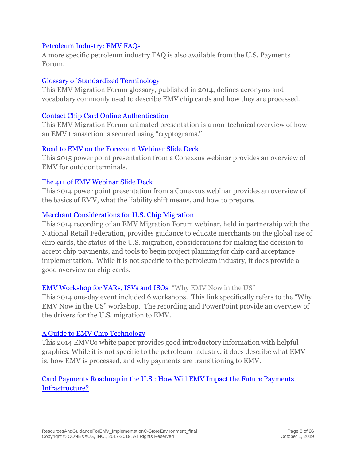#### [Petroleum Industry: EMV FAQs](http://www.uspaymentsforum.org/petroleum-industry-emv-faq)

A more specific petroleum industry FAQ is also available from the U.S. Payments Forum.

#### [Glossary of Standardized Terminology](http://www.emv-connection.com/standardization-of-terminology/)

This EMV Migration Forum glossary, published in 2014, defines acronyms and vocabulary commonly used to describe EMV chip cards and how they are processed.

#### [Contact Chip Card Online Authentication](http://www.emv-connection.com/contact-chip-card-online-authentication/)

This EMV Migration Forum animated presentation is a non-technical overview of how an EMV transaction is secured using "cryptograms."

#### [Road to EMV on the Forecourt Webinar](https://www.conexxus.org/content/2015-may-road-emv-forecourt) Slide Deck

This 2015 power point presentation from a Conexxus webinar provides an overview of EMV for outdoor terminals.

#### [The 411 of EMV Webinar](https://www.conexxus.org/content/2014-june-411-emv) Slide Deck

This 2014 power point presentation from a Conexxus webinar provides an overview of the basics of EMV, what the liability shift means, and how to prepare.

#### [Merchant Considerations for U.S. Chip Migration](http://www.emv-connection.com/merchant-considerations-for-u-s-chip-migration/)

This 2014 recording of an EMV Migration Forum webinar, held in partnership with the National Retail Federation, provides guidance to educate merchants on the global use of chip cards, the status of the U.S. migration, considerations for making the decision to accept chip payments, and tools to begin project planning for chip card acceptance implementation. While it is not specific to the petroleum industry, it does provide a good overview on chip cards.

#### [EMV Workshop for VARs, ISVs and ISOs](http://www.emv-connection.com/emv-workshop-for-vars-isvs-and-isos/) "Why EMV Now in the US"

This 2014 one-day event included 6 workshops. This link specifically refers to the "Why EMV Now in the US" workshop. The recording and PowerPoint provide an overview of the drivers for the U.S. migration to EMV.

#### [A Guide to EMV Chip Technology](https://www.emvco.com/wp-content/uploads/documents/A_Guide_to_EMV_Chip_Technology_v2.0_20141120122132753.pdf)

This 2014 EMVCo white paper provides good introductory information with helpful graphics. While it is not specific to the petroleum industry, it does describe what EMV is, how EMV is processed, and why payments are transitioning to EMV.

#### [Card Payments Roadmap in the U.S.: How Will EMV Impact the Future Payments](http://www.emv-connection.com/?page_id=106)  [Infrastructure?](http://www.emv-connection.com/?page_id=106)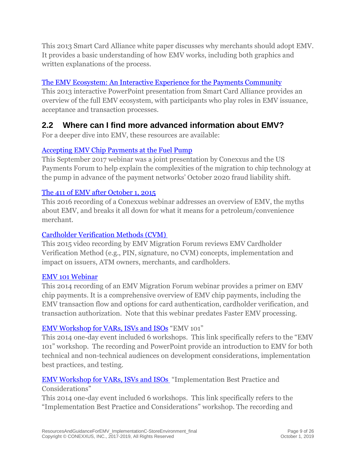This 2013 Smart Card Alliance white paper discusses why merchants should adopt EMV. It provides a basic understanding of how EMV works, including both graphics and written explanations of the process.

### [The EMV Ecosystem: An Interactive Experience for the Payments Community](http://www.emv-connection.com/the-emv-ecosystem-an-interactive-experience-for-the-payments-community/)

This 2013 interactive PowerPoint presentation from Smart Card Alliance provides an overview of the full EMV ecosystem, with participants who play roles in EMV issuance, acceptance and transaction processes.

### <span id="page-8-0"></span>**2.2 Where can I find more advanced information about EMV?**

For a deeper dive into EMV, these resources are available:

### [Accepting EMV Chip Payments at the Fuel Pump](https://www.conexxus.org/content/2017-september-conexxus-and-us-payments-forum-emv-webinar)

This September 2017 webinar was a joint presentation by Conexxus and the US Payments Forum to help explain the complexities of the migration to chip technology at the pump in advance of the payment networks' October 2020 fraud liability shift.

### [The 411 of EMV after October 1, 2015](https://www.conexxus.org/webinars/411-emv-after-october-2015)

This 2016 recording of a Conexxus webinar addresses an overview of EMV, the myths about EMV, and breaks it all down for what it means for a petroleum/convenience merchant.

### [Cardholder Verification Methods](http://www.emv-connection.com/cardholder-verification-methods-concepts-implementations-and-impacts/) (CVM)

This 2015 video recording by EMV Migration Forum reviews EMV Cardholder Verification Method (e.g., PIN, signature, no CVM) concepts, implementation and impact on issuers, ATM owners, merchants, and cardholders.

### [EMV 101 Webinar](http://www.emv-connection.com/emv-101-fundamentals-of-emv-chip-payments/)

This 2014 recording of an EMV Migration Forum webinar provides a primer on EMV chip payments. It is a comprehensive overview of EMV chip payments, including the EMV transaction flow and options for card authentication, cardholder verification, and transaction authorization. Note that this webinar predates Faster EMV processing.

### [EMV Workshop for VARs, ISVs and ISOs](http://www.emv-connection.com/emv-workshop-for-vars-isvs-and-isos/) "EMV 101"

This 2014 one-day event included 6 workshops. This link specifically refers to the "EMV 101" workshop. The recording and PowerPoint provide an introduction to EMV for both technical and non-technical audiences on development considerations, implementation best practices, and testing.

### [EMV Workshop for VARs, ISVs and ISOs](http://www.emv-connection.com/emv-workshop-for-vars-isvs-and-isos/) "Implementation Best Practice and Considerations"

This 2014 one-day event included 6 workshops. This link specifically refers to the "Implementation Best Practice and Considerations" workshop. The recording and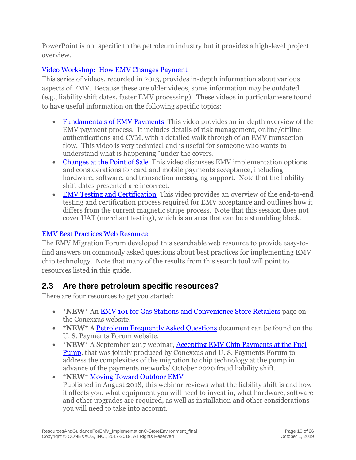PowerPoint is not specific to the petroleum industry but it provides a high-level project overview.

### [Video Workshop: How EMV Changes Payment](http://www.emv-connection.com/video-workshop-how-emv-changes-payment/)

This series of videos, recorded in 2013, provides in-depth information about various aspects of EMV. Because these are older videos, some information may be outdated (e.g., liability shift dates, faster EMV processing). These videos in particular were found to have useful information on the following specific topics:

- [Fundamentals of EMV Payments](http://www.emv-connection.com/video-workshop-how-emv-changes-payment/) This video provides an in-depth overview of the EMV payment process. It includes details of risk management, online/offline authentications and CVM, with a detailed walk through of an EMV transaction flow. This video is very technical and is useful for someone who wants to understand what is happening "under the covers."
- [Changes at the Point of Sale](http://www.emv-connection.com/video-workshop-how-emv-changes-payment/) This video discusses EMV implementation options and considerations for card and mobile payments acceptance, including hardware, software, and transaction messaging support. Note that the liability shift dates presented are incorrect.
- [EMV Testing and Certification](http://www.emv-connection.com/video-workshop-how-emv-changes-payment/) This video provides an overview of the end-to-end testing and certification process required for EMV acceptance and outlines how it differs from the current magnetic stripe process. Note that this session does not cover UAT (merchant testing), which is an area that can be a stumbling block.

### [EMV Best Practices Web Resource](http://www.emv-connection.com/best-practices/)

The EMV Migration Forum developed this searchable web resource to provide easy-tofind answers on commonly asked questions about best practices for implementing EMV chip technology. Note that many of the results from this search tool will point to resources listed in this guide.

### <span id="page-9-0"></span>**2.3 Are there petroleum specific resources?**

There are four resources to get you started:

- \*NEW<sup>\*</sup> An [EMV 101 for Gas Stations and Convenience Store Retailers](https://www.conexxus.org/content/emv-101-gas-station-and-convenience-store-retailers) page on the Conexxus website.
- **\*NEW\*** A [Petroleum Frequently Asked Questions](http://www.uspaymentsforum.org/petroleum-industry-emv-faq/) document can be found on the U. S. Payments Forum website.
- \*NEW<sup>\*</sup> A September 2017 webinar, **Accepting EMV Chip Payments at the Fuel** [Pump,](https://www.conexxus.org/content/2017-september-conexxus-and-us-payments-forum-emv-webinar) that was jointly produced by Conexxus and U. S. Payments Forum to address the complexities of the migration to chip technology at the pump in advance of the payments networks' October 2020 fraud liability shift.
- \***NEW**\* [Moving Toward Outdoor EMV](https://www.conexxus.org/webinars/moving-toward-outdoor-emv) Published in August 2018, this webinar reviews what the liability shift is and how it affects you, what equipment you will need to invest in, what hardware, software and other upgrades are required, as well as installation and other considerations you will need to take into account.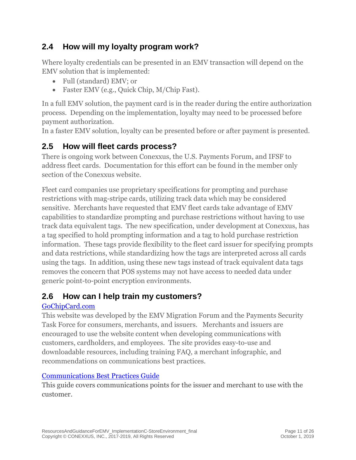# <span id="page-10-0"></span>**2.4 How will my loyalty program work?**

Where loyalty credentials can be presented in an EMV transaction will depend on the EMV solution that is implemented:

- Full (standard) EMV; or
- Faster EMV (e.g., Ouick Chip, M/Chip Fast).

In a full EMV solution, the payment card is in the reader during the entire authorization process. Depending on the implementation, loyalty may need to be processed before payment authorization.

In a faster EMV solution, loyalty can be presented before or after payment is presented.

# <span id="page-10-1"></span>**2.5 How will fleet cards process?**

There is ongoing work between Conexxus, the U.S. Payments Forum, and IFSF to address fleet cards. Documentation for this effort can be found in the member only section of the Conexxus website.

Fleet card companies use proprietary specifications for prompting and purchase restrictions with mag-stripe cards, utilizing track data which may be considered sensitive. Merchants have requested that EMV fleet cards take advantage of EMV capabilities to standardize prompting and purchase restrictions without having to use track data equivalent tags. The new specification, under development at Conexxus, has a tag specified to hold prompting information and a tag to hold purchase restriction information. These tags provide flexibility to the fleet card issuer for specifying prompts and data restrictions, while standardizing how the tags are interpreted across all cards using the tags. In addition, using these new tags instead of track equivalent data tags removes the concern that POS systems may not have access to needed data under generic point-to-point encryption environments.

# <span id="page-10-2"></span>**2.6 How can I help train my customers?**

### [GoChipCard.com](http://gochipcard.com/)

This website was developed by the EMV Migration Forum and the Payments Security Task Force for consumers, merchants, and issuers. Merchants and issuers are encouraged to use the website content when developing communications with customers, cardholders, and employees. The site provides easy-to-use and downloadable resources, including training FAQ, a merchant infographic, and recommendations on communications best practices.

### [Communications Best Practices Guide](http://www.uspaymentsforum.org/recommended-communications-best-practices/)

This guide covers communications points for the issuer and merchant to use with the customer.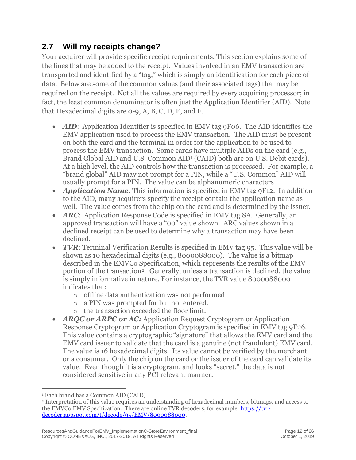# <span id="page-11-0"></span>**2.7 Will my receipts change?**

Your acquirer will provide specific receipt requirements. This section explains some of the lines that may be added to the receipt. Values involved in an EMV transaction are transported and identified by a "tag," which is simply an identification for each piece of data. Below are some of the common values (and their associated tags) that may be required on the receipt. Not all the values are required by every acquiring processor; in fact, the least common denominator is often just the Application Identifier (AID). Note that Hexadecimal digits are 0-9, A, B, C, D, E, and F.

- *AID*: Application Identifier is specified in EMV tag 9F06. The AID identifies the EMV application used to process the EMV transaction. The AID must be present on both the card and the terminal in order for the application to be used to process the EMV transaction. Some cards have multiple AIDs on the card (e.g., Brand Global AID and U.S. Common AID<sup>1</sup> (CAID) both are on U.S. Debit cards). At a high level, the AID controls how the transaction is processed. For example, a "brand global" AID may not prompt for a PIN, while a "U.S. Common" AID will usually prompt for a PIN. The value can be alphanumeric characters
- *Application Name:* This information is specified in EMV tag 9F12. In addition to the AID, many acquirers specify the receipt contain the application name as well. The value comes from the chip on the card and is determined by the issuer.
- *ARC*: Application Response Code is specified in EMV tag 8A. Generally, an approved transaction will have a "00" value shown. ARC values shown in a declined receipt can be used to determine why a transaction may have been declined.
- *TVR*: Terminal Verification Results is specified in EMV tag 95. This value will be shown as 10 hexadecimal digits (e.g., 8000088000). The value is a bitmap described in the EMVCo Specification, which represents the results of the EMV portion of the transaction<sup>2</sup>. Generally, unless a transaction is declined, the value is simply informative in nature. For instance, the TVR value 8000088000 indicates that:
	- o offline data authentication was not performed
	- o a PIN was prompted for but not entered.
	- o the transaction exceeded the floor limit.
- *ARQC or ARPC or AC:* Application Request Cryptogram or Application Response Cryptogram or Application Cryptogram is specified in EMV tag 9F26. This value contains a cryptographic "signature" that allows the EMV card and the EMV card issuer to validate that the card is a genuine (not fraudulent) EMV card. The value is 16 hexadecimal digits. Its value cannot be verified by the merchant or a consumer. Only the chip on the card or the issuer of the card can validate its value. Even though it is a cryptogram, and looks "secret," the data is not considered sensitive in any PCI relevant manner.

<sup>1</sup> Each brand has a Common AID (CAID)

<sup>2</sup> Interpretation of this value requires an understanding of hexadecimal numbers, bitmaps, and access to the EMVCo EMV Specification. There are online TVR decoders, for example: [https://tvr](https://tvr-decoder.appspot.com/t/decode/95/EMV/8000088000)[decoder.appspot.com/t/decode/95/EMV/8000088000.](https://tvr-decoder.appspot.com/t/decode/95/EMV/8000088000)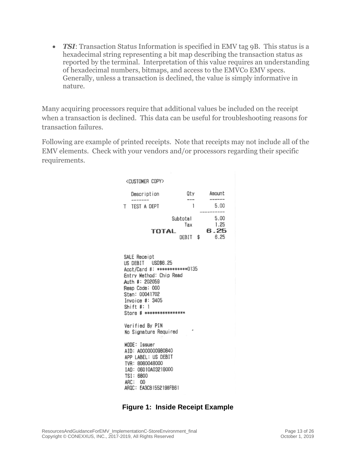• *TSI*: Transaction Status Information is specified in EMV tag 9B. This status is a hexadecimal string representing a bit map describing the transaction status as reported by the terminal. Interpretation of this value requires an understanding of hexadecimal numbers, bitmaps, and access to the EMVCo EMV specs. Generally, unless a transaction is declined, the value is simply informative in nature.

Many acquiring processors require that additional values be included on the receipt when a transaction is declined. This data can be useful for troubleshooting reasons for transaction failures.

Following are example of printed receipts. Note that receipts may not include all of the EMV elements. Check with your vendors and/or processors regarding their specific requirements.

| <customer copy=""></customer>                                                                                                                                                                                      |                                |                              |  |  |  |
|--------------------------------------------------------------------------------------------------------------------------------------------------------------------------------------------------------------------|--------------------------------|------------------------------|--|--|--|
| Description                                                                                                                                                                                                        | Qty<br>$\cdots$                | Amount                       |  |  |  |
| TEST A DEPT<br>T.                                                                                                                                                                                                  | 1                              | 5.00                         |  |  |  |
| <b>TOTAL</b>                                                                                                                                                                                                       | Subtotal<br>Tax<br>DEBIT<br>\$ | 5.00<br>1.25<br>6.25<br>6.25 |  |  |  |
| SALE Receipt<br>US DEBIT USD\$6.25<br>Acct/Card #: ************0135<br>Entry Method: Chip Read<br>Auth #: 202059<br>Resp Code: 000<br>Stan: 00041702<br>Invoice #: 3405<br>Shift #: 1<br>Store # ***************** |                                |                              |  |  |  |
| Verified By PIN<br>No Signature Required                                                                                                                                                                           |                                |                              |  |  |  |
| MODE: Issuer<br>AID: A0000000980840<br>APP LABEL: US DEBIT<br>TVR: 8080048000<br>IAD: 06010A03218000<br>TSI: 6800<br>ARC: 00<br>ARQC: EA3CB1552198FB61                                                             |                                |                              |  |  |  |

#### **Figure 1: Inside Receipt Example**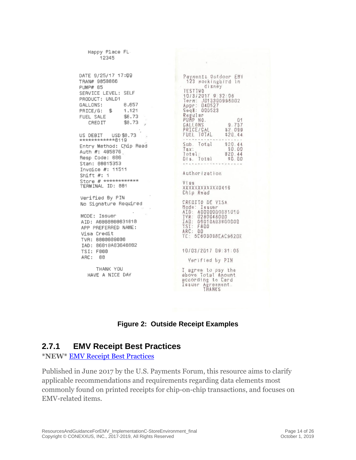Happy Place FL 12345 DATE 9/25/17 17:09 TRAN# 9050066 PUMP# 05 SERVICE LEVEL: SELF PRODUCT: UNLD1 GALLONS: 8,657 PRICE/G: \$ 1.121 FUEL SALE \$8.73 CRED IT \$8.73 US DEBIT USD \$8.73  $**************+9119$ Entry Method: Chip Read Auth #: 485076 Resp Code: 000 Stan: 00015353 Invoice #: 11511 Shift  $#: 1$ Store # \*\*\*\*\*\*\*\*\*\*\*\* TERMINAL ID: 001 Verified By PIN No Signature Required MODE: Issuer AID: A0000000031010 APP PREFERRED NAME: Visa Credit TVR: 0000008000 IAD: 06010A03640002

Payments Outdoor EMV 123 mockingbird In disney **TESTTWO** 10/3/2017 9:32:06<br>Term: JD13300998002<br>Appr: 040527 Seq#: 000523 Regular<br>PUMP NO.<br>GALLONS  $01$  $9.737$ PRICE/GAL \$2.099<br>\$20.44 FUEL TOTAL  $$20.44$ Sub. Total Tax:<br>Total:<br>Dis Total  $$0.00$  $$20.44$ Dis. Total  $$0.00$ Authorization Visa XXXXXXXXXXXD416 Chip Read CREDITO DE VI<br>Mode: Issuer<br>AID: A0000000<br>IVR: 02800488 CREDITO DE VISA AID: A0000000031010 TYR: 0280048000 TAD: 06010A03600000<br>TSI: F800<br>ARC: 00<br>TC: 5C603098EAC962DE 10/03/2017 09:31:05 Verified by PIN I agree to pay the above Total Amount according to Card<br>Issuer Agreement.<br>THANKS

#### **Figure 2: Outside Receipt Examples**

### <span id="page-13-0"></span>**2.7.1 [EMV Receipt Best Practices](https://www.uspaymentsforum.org/emv-receipt-best-practices/)**

THANK YOU

HAVE A NICE DAY

**\*NEW\*** [EMV Receipt Best Practices](https://www.uspaymentsforum.org/emv-receipt-best-practices/)

TSI: F800 ARC: 00

Published in June 2017 by the U.S. Payments Forum, this resource aims to clarify applicable recommendations and requirements regarding data elements most commonly found on printed receipts for chip-on-chip transactions, and focuses on EMV-related items.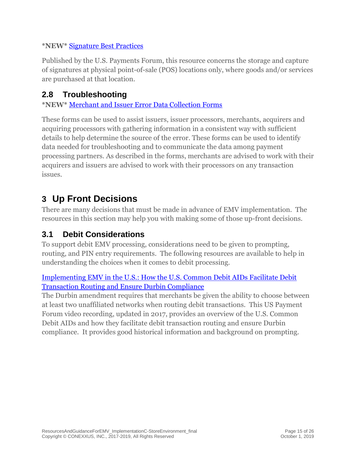#### **\*NEW\*** [Signature Best Practices](https://www.uspaymentsforum.org/signature-best-practices/)

Published by the U.S. Payments Forum, this resource concerns the storage and capture of signatures at physical point-of-sale (POS) locations only, where goods and/or services are purchased at that location.

### <span id="page-14-0"></span>**2.8 Troubleshooting**

**\*NEW\*** [Merchant and Issuer Error Data Collection Forms](https://www.uspaymentsforum.org/merchant-and-issuer-error-data-collection-forms/)

These forms can be used to assist issuers, issuer processors, merchants, acquirers and acquiring processors with gathering information in a consistent way with sufficient details to help determine the source of the error. These forms can be used to identify data needed for troubleshooting and to communicate the data among payment processing partners. As described in the forms, merchants are advised to work with their acquirers and issuers are advised to work with their processors on any transaction issues.

# <span id="page-14-1"></span>**3 Up Front Decisions**

There are many decisions that must be made in advance of EMV implementation. The resources in this section may help you with making some of those up-front decisions.

### <span id="page-14-2"></span>**3.1 Debit Considerations**

To support debit EMV processing, considerations need to be given to prompting, routing, and PIN entry requirements. The following resources are available to help in understanding the choices when it comes to debit processing.

### [Implementing EMV in the U.S.: How the U.S. Common Debit AIDs Facilitate Debit](http://www.emv-connection.com/implementing-emv-in-the-u-s-how-the-u-s-common-debit-aids-facilitate-debit-transaction-routing-and-ensure-durbin-compliance/)  Transaction [Routing and Ensure Durbin Compliance](http://www.emv-connection.com/implementing-emv-in-the-u-s-how-the-u-s-common-debit-aids-facilitate-debit-transaction-routing-and-ensure-durbin-compliance/)

The Durbin amendment requires that merchants be given the ability to choose between at least two unaffiliated networks when routing debit transactions. This US Payment Forum video recording, updated in 2017, provides an overview of the U.S. Common Debit AIDs and how they facilitate debit transaction routing and ensure Durbin compliance. It provides good historical information and background on prompting.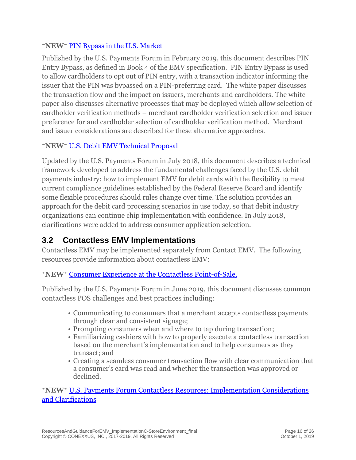### \***NEW**\* [PIN Bypass in the U.S. Market](https://www.uspaymentsforum.org/pin-bypass-in-the-u-s-market/)

Published by the U.S. Payments Forum in February 2019, this document describes PIN Entry Bypass, as defined in Book 4 of the EMV specification. PIN Entry Bypass is used to allow cardholders to opt out of PIN entry, with a transaction indicator informing the issuer that the PIN was bypassed on a PIN-preferring card. The white paper discusses the transaction flow and the impact on issuers, merchants and cardholders. The white paper also discusses alternative processes that may be deployed which allow selection of cardholder verification methods – merchant cardholder verification selection and issuer preference for and cardholder selection of cardholder verification method. Merchant and issuer considerations are described for these alternative approaches.

### \***NEW**\* [U.S. Debit EMV Technical Proposal](https://www.uspaymentsforum.org/u-s-debit-emv-technical-proposal/)

Updated by the U.S. Payments Forum in July 2018, this document describes a technical framework developed to address the fundamental challenges faced by the U.S. debit payments industry: how to implement EMV for debit cards with the flexibility to meet current compliance guidelines established by the Federal Reserve Board and identify some flexible procedures should rules change over time. The solution provides an approach for the debit card processing scenarios in use today, so that debit industry organizations can continue chip implementation with confidence. In July 2018, clarifications were added to address consumer application selection.

# <span id="page-15-0"></span>**3.2 Contactless EMV Implementations**

Contactless EMV may be implemented separately from Contact EMV. The following resources provide information about contactless EMV:

### **\*NEW\*** [Consumer Experience at the Contactless Point-of-Sale,](https://www.uspaymentsforum.org/consumer-experience-at-the-contactless-point-of-sale/)

Published by the U.S. Payments Forum in June 2019, this document discusses common contactless POS challenges and best practices including:

- Communicating to consumers that a merchant accepts contactless payments through clear and consistent signage;
- Prompting consumers when and where to tap during transaction;
- Familiarizing cashiers with how to properly execute a contactless transaction based on the merchant's implementation and to help consumers as they transact; and
- Creating a seamless consumer transaction flow with clear communication that a consumer's card was read and whether the transaction was approved or declined.

**\*NEW\*** [U.S. Payments Forum Contactless Resources: Implementation Considerations](file:///C:/Users/kaseufer/AppData/Local/Microsoft/Windows/INetCache/Content.Outlook/GR0IJ6ZB/•%09https:/www.uspaymentsforum.org/u-s-payments-forum-contactless-resources-implementation-considerations-and-clarifications/)  [and Clarifications](file:///C:/Users/kaseufer/AppData/Local/Microsoft/Windows/INetCache/Content.Outlook/GR0IJ6ZB/•%09https:/www.uspaymentsforum.org/u-s-payments-forum-contactless-resources-implementation-considerations-and-clarifications/)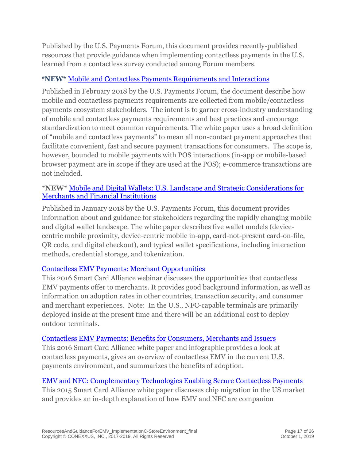Published by the U.S. Payments Forum, this document provides recently-published resources that provide guidance when implementing contactless payments in the U.S. learned from a contactless survey conducted among Forum members.

### \***NEW**\* [Mobile and Contactless Payments Requirements and Interactions](https://www.uspaymentsforum.org/mobile-and-contactless-payments-requirements-and-interactions/)

Published in February 2018 by the U.S. Payments Forum, the document describe how mobile and contactless payments requirements are collected from mobile/contactless payments ecosystem stakeholders. The intent is to garner cross-industry understanding of mobile and contactless payments requirements and best practices and encourage standardization to meet common requirements. The white paper uses a broad definition of "mobile and contactless payments" to mean all non-contact payment approaches that facilitate convenient, fast and secure payment transactions for consumers. The scope is, however, bounded to mobile payments with POS interactions (in-app or mobile-based browser payment are in scope if they are used at the POS); e-commerce transactions are not included.

#### **\*NEW\*** [Mobile and Digital Wallets: U.S. Landscape and Strategic Considerations for](https://www.uspaymentsforum.org/mobile-and-digital-wallets-u-s-landscape-and-strategic-considerations-for-merchants-and-financial-institutions/)  [Merchants and Financial Institutions](https://www.uspaymentsforum.org/mobile-and-digital-wallets-u-s-landscape-and-strategic-considerations-for-merchants-and-financial-institutions/)

Published in January 2018 by the U.S. Payments Forum, this document provides information about and guidance for stakeholders regarding the rapidly changing mobile and digital wallet landscape. The white paper describes five wallet models (devicecentric mobile proximity, device-centric mobile in-app, card-not-present card-on-file, QR code, and digital checkout), and typical wallet specifications, including interaction methods, credential storage, and tokenization.

### [Contactless EMV Payments: Merchant Opportunities](http://www.smartcardalliance.org/activities-events-webinar-contactless-emv-payments-merchant-opportunities/)

This 2016 Smart Card Alliance webinar discusses the opportunities that contactless EMV payments offer to merchants. It provides good background information, as well as information on adoption rates in other countries, transaction security, and consumer and merchant experiences. Note: In the U.S., NFC-capable terminals are primarily deployed inside at the present time and there will be an additional cost to deploy outdoor terminals.

#### [Contactless EMV Payments: Benefits for Consumers, Merchants and Issuers](http://www.emv-connection.com/contactless-emv-payments-benefits-for-consumers-merchants-and-issuers/)

This 2016 Smart Card Alliance white paper and infographic provides a look at contactless payments, gives an overview of contactless EMV in the current U.S. payments environment, and summarizes the benefits of adoption.

### [EMV and NFC: Complementary Technologies Enabling Secure Contactless Payments](http://www.smartcardalliance.org/publications-emv-and-nfc-complementary-technologies-enabling-secure-contactless-payments/)

This 2015 Smart Card Alliance white paper discusses chip migration in the US market and provides an in-depth explanation of how EMV and NFC are companion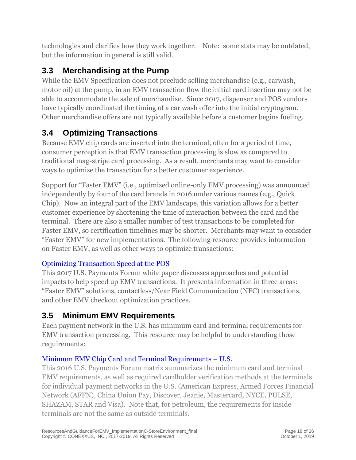technologies and clarifies how they work together. Note: some stats may be outdated, but the information in general is still valid.

# <span id="page-17-0"></span>**3.3 Merchandising at the Pump**

While the EMV Specification does not preclude selling merchandise (e.g., carwash, motor oil) at the pump, in an EMV transaction flow the initial card insertion may not be able to accommodate the sale of merchandise. Since 2017, dispenser and POS vendors have typically coordinated the timing of a car wash offer into the initial cryptogram. Other merchandise offers are not typically available before a customer begins fueling.

# <span id="page-17-1"></span>**3.4 Optimizing Transactions**

Because EMV chip cards are inserted into the terminal, often for a period of time, consumer perception is that EMV transaction processing is slow as compared to traditional mag-stripe card processing. As a result, merchants may want to consider ways to optimize the transaction for a better customer experience.

Support for "Faster EMV" (i.e., optimized online-only EMV processing) was announced independently by four of the card brands in 2016 under various names (e.g., Quick Chip). Now an integral part of the EMV landscape, this variation allows for a better customer experience by shortening the time of interaction between the card and the terminal. There are also a smaller number of test transactions to be completed for Faster EMV, so certification timelines may be shorter. Merchants may want to consider "Faster EMV" for new implementations. The following resource provides information on Faster EMV, as well as other ways to optimize transactions:

### [Optimizing Transaction Speed at the POS](http://www.emv-connection.com/optimizing-transaction-speed-at-the-point-of-sale/)

This 2017 U.S. Payments Forum white paper discusses approaches and potential impacts to help speed up EMV transactions. It presents information in three areas: "Faster EMV" solutions, contactless/Near Field Communication (NFC) transactions, and other EMV checkout optimization practices.

# <span id="page-17-2"></span>**3.5 Minimum EMV Requirements**

Each payment network in the U.S. has minimum card and terminal requirements for EMV transaction processing. This resource may be helpful to understanding those requirements:

# [Minimum EMV Chip Card and Terminal Requirements](http://www.emv-connection.com/minimum-emv-chip-card-and-terminal-requirements-u-s/) – U.S.

This 2016 U.S. Payments Forum matrix summarizes the minimum card and terminal EMV requirements, as well as required cardholder verification methods at the terminals for individual payment networks in the U.S. (American Express, Armed Forces Financial Network (AFFN), China Union Pay, Discover, Jeanie, Mastercard, NYCE, PULSE, SHAZAM, STAR and Visa). Note that, for petroleum, the requirements for inside terminals are not the same as outside terminals.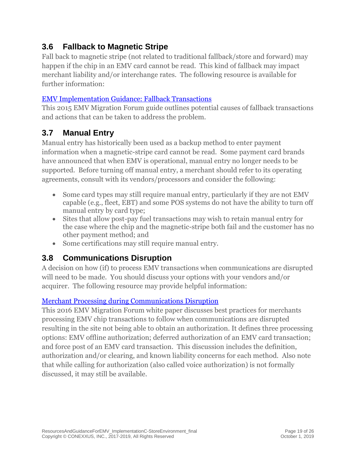# <span id="page-18-0"></span>**3.6 Fallback to Magnetic Stripe**

Fall back to magnetic stripe (not related to traditional fallback/store and forward) may happen if the chip in an EMV card cannot be read. This kind of fallback may impact merchant liability and/or interchange rates. The following resource is available for further information:

### [EMV Implementation Guidance: Fallback Transactions](http://www.emv-connection.com/downloads/2012/05/Fallback-Transaction-Guidance-Final-Nov-2015.pdf)

This 2015 EMV Migration Forum guide outlines potential causes of fallback transactions and actions that can be taken to address the problem.

# <span id="page-18-1"></span>**3.7 Manual Entry**

Manual entry has historically been used as a backup method to enter payment information when a magnetic-stripe card cannot be read. Some payment card brands have announced that when EMV is operational, manual entry no longer needs to be supported. Before turning off manual entry, a merchant should refer to its operating agreements, consult with its vendors/processors and consider the following:

- Some card types may still require manual entry, particularly if they are not EMV capable (e.g., fleet, EBT) and some POS systems do not have the ability to turn off manual entry by card type;
- Sites that allow post-pay fuel transactions may wish to retain manual entry for the case where the chip and the magnetic-stripe both fail and the customer has no other payment method; and
- Some certifications may still require manual entry.

# <span id="page-18-2"></span>**3.8 Communications Disruption**

A decision on how (if) to process EMV transactions when communications are disrupted will need to be made. You should discuss your options with your vendors and/or acquirer. The following resource may provide helpful information:

### [Merchant Processing during Communications Disruption](http://www.emv-connection.com/merchant-processing-during-communications-disruption/)

This 2016 EMV Migration Forum white paper discusses best practices for merchants processing EMV chip transactions to follow when communications are disrupted resulting in the site not being able to obtain an authorization. It defines three processing options: EMV offline authorization; deferred authorization of an EMV card transaction; and force post of an EMV card transaction. This discussion includes the definition, authorization and/or clearing, and known liability concerns for each method. Also note that while calling for authorization (also called voice authorization) is not formally discussed, it may still be available.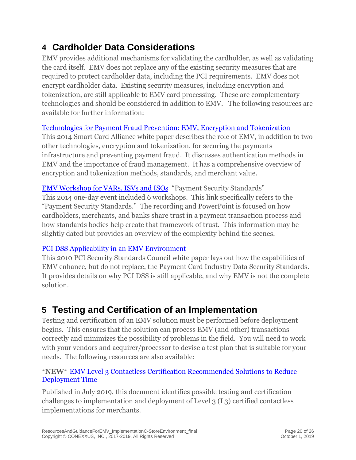# <span id="page-19-0"></span>**4 Cardholder Data Considerations**

EMV provides additional mechanisms for validating the cardholder, as well as validating the card itself. EMV does not replace any of the existing security measures that are required to protect cardholder data, including the PCI requirements. EMV does not encrypt cardholder data. Existing security measures, including encryption and tokenization, are still applicable to EMV card processing. These are complementary technologies and should be considered in addition to EMV. The following resources are available for further information:

### [Technologies for Payment Fraud Prevention: EMV, Encryption and Tokenization](http://www.emv-connection.com/technologies-for-payment-fraud-prevention-emv-encryption-and-tokenization/)

This 2014 Smart Card Alliance white paper describes the role of EMV, in addition to two other technologies, encryption and tokenization, for securing the payments infrastructure and preventing payment fraud. It discusses authentication methods in EMV and the importance of fraud management. It has a comprehensive overview of encryption and tokenization methods, standards, and merchant value.

[EMV Workshop for VARs, ISVs and ISOs](http://www.emv-connection.com/emv-workshop-for-vars-isvs-and-isos/) "Payment Security Standards" This 2014 one-day event included 6 workshops. This link specifically refers to the "Payment Security Standards." The recording and PowerPoint is focused on how cardholders, merchants, and banks share trust in a payment transaction process and how standards bodies help create that framework of trust. This information may be slightly dated but provides an overview of the complexity behind the scenes.

### [PCI DSS Applicability in an EMV Environment](https://www.pcisecuritystandards.org/documents/pci_dss_emv.pdf)

This 2010 PCI Security Standards Council white paper lays out how the capabilities of EMV enhance, but do not replace, the Payment Card Industry Data Security Standards. It provides details on why PCI DSS is still applicable, and why EMV is not the complete solution.

# <span id="page-19-1"></span>**5 Testing and Certification of an Implementation**

Testing and certification of an EMV solution must be performed before deployment begins. This ensures that the solution can process EMV (and other) transactions correctly and minimizes the possibility of problems in the field. You will need to work with your vendors and acquirer/processor to devise a test plan that is suitable for your needs. The following resources are also available:

### **\*NEW\*** [EMV Level 3 Contactless Certification Recommended Solutions to Reduce](https://www.uspaymentsforum.org/emv-level-3-contactless-certification-recommended-solutions-to-reduce-deployment-time/)  [Deployment Time](https://www.uspaymentsforum.org/emv-level-3-contactless-certification-recommended-solutions-to-reduce-deployment-time/)

Published in July 2019, this document identifies possible testing and certification challenges to implementation and deployment of Level 3 (L3) certified contactless implementations for merchants.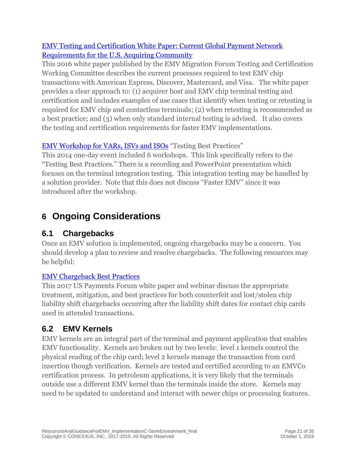### [EMV Testing and Certification White Paper: Current Global Payment Network](http://www.emv-connection.com/emv-testing-and-certification-white-paper-current-global-payment-network-requirements-for-the-u-s-acquiring-community/)  [Requirements for the U.S. Acquiring Community](http://www.emv-connection.com/emv-testing-and-certification-white-paper-current-global-payment-network-requirements-for-the-u-s-acquiring-community/)

This 2016 white paper published by the EMV Migration Forum Testing and Certification Working Committee describes the current processes required to test EMV chip transactions with American Express, Discover, Mastercard, and Visa. The white paper provides a clear approach to: (1) acquirer host and EMV chip terminal testing and certification and includes examples of use cases that identify when testing or retesting is required for EMV chip and contactless terminals; (2) when retesting is recommended as a best practice; and (3) when only standard internal testing is advised. It also covers the testing and certification requirements for faster EMV implementations.

### [EMV Workshop for VARs, ISVs and ISOs](http://www.emv-connection.com/emv-workshop-for-vars-isvs-and-isos/) "Testing Best Practices"

This 2014 one-day event included 6 workshops. This link specifically refers to the "Testing Best Practices." There is a recording and PowerPoint presentation which focuses on the terminal integration testing. This integration testing may be handled by a solution provider. Note that this does not discuss "Faster EMV" since it was introduced after the workshop.

# <span id="page-20-0"></span>**6 Ongoing Considerations**

# <span id="page-20-1"></span>**6.1 Chargebacks**

Once an EMV solution is implemented, ongoing chargebacks may be a concern. You should develop a plan to review and resolve chargebacks. The following resources may be helpful:

### [EMV Chargeback Best Practices](http://www.emv-connection.com/emv-chargeback-best-practices/)

This 2017 US Payments Forum white paper and webinar discuss the appropriate treatment, mitigation, and best practices for both counterfeit and lost/stolen chip liability shift chargebacks occurring after the liability shift dates for contact chip cards used in attended transactions.

# <span id="page-20-2"></span>**6.2 EMV Kernels**

EMV kernels are an integral part of the terminal and payment application that enables EMV functionality. Kernels are broken out by two levels: level 1 kernels control the physical reading of the chip card; level 2 kernels manage the transaction from card insertion though verification. Kernels are tested and certified according to an EMVCo certification process. In petroleum applications, it is very likely that the terminals outside use a different EMV kernel than the terminals inside the store. Kernels may need to be updated to understand and interact with newer chips or processing features.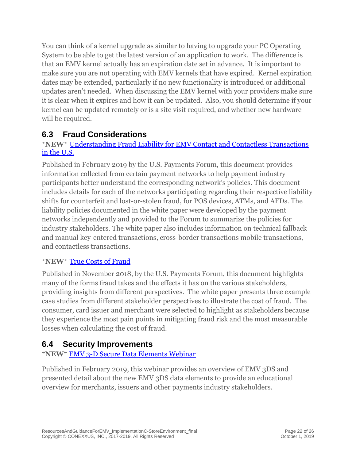You can think of a kernel upgrade as similar to having to upgrade your PC Operating System to be able to get the latest version of an application to work. The difference is that an EMV kernel actually has an expiration date set in advance. It is important to make sure you are not operating with EMV kernels that have expired. Kernel expiration dates may be extended, particularly if no new functionality is introduced or additional updates aren't needed. When discussing the EMV kernel with your providers make sure it is clear when it expires and how it can be updated. Also, you should determine if your kernel can be updated remotely or is a site visit required, and whether new hardware will be required.

### <span id="page-21-0"></span>**6.3 Fraud Considerations**

### **\*NEW\*** [Understanding Fraud Liability for EMV Contact and Contactless Transactions](https://www.uspaymentsforum.org/understanding-the-u-s-emv-fraud-liability-shifts/)  [in the U.S.](https://www.uspaymentsforum.org/understanding-the-u-s-emv-fraud-liability-shifts/)

Published in February 2019 by the U.S. Payments Forum, this document provides information collected from certain payment networks to help payment industry participants better understand the corresponding network's policies. This document includes details for each of the networks participating regarding their respective liability shifts for counterfeit and lost-or-stolen fraud, for POS devices, ATMs, and AFDs. The liability policies documented in the white paper were developed by the payment networks independently and provided to the Forum to summarize the policies for industry stakeholders. The white paper also includes information on technical fallback and manual key-entered transactions, cross-border transactions mobile transactions, and contactless transactions.

### **\*NEW\*** [True Costs of Fraud](https://www.uspaymentsforum.org/true-costs-of-fraud/)

Published in November 2018, by the U.S. Payments Forum, this document highlights many of the forms fraud takes and the effects it has on the various stakeholders, providing insights from different perspectives. The white paper presents three example case studies from different stakeholder perspectives to illustrate the cost of fraud. The consumer, card issuer and merchant were selected to highlight as stakeholders because they experience the most pain points in mitigating fraud risk and the most measurable losses when calculating the cost of fraud.

### <span id="page-21-1"></span>**6.4 Security Improvements**

### \***NEW**\* [EMV 3-D Secure Data Elements Webinar](https://www.uspaymentsforum.org/emv-3-d-secure-data-elements-webinar/)

Published in February 2019, this webinar provides an overview of EMV 3DS and presented detail about the new EMV 3DS data elements to provide an educational overview for merchants, issuers and other payments industry stakeholders.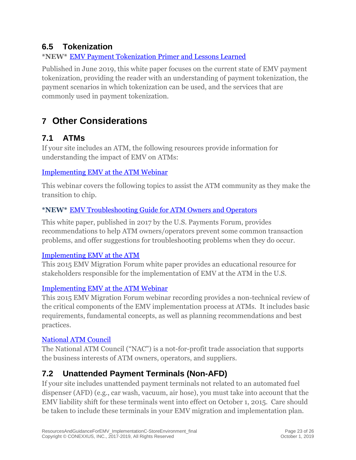### <span id="page-22-0"></span>**6.5 Tokenization**

### **\*NEW\*** [EMV Payment Tokenization Primer and Lessons Learned](https://www.uspaymentsforum.org/emv-payment-tokenization-primer-and-lessons-learned/)

Published in June 2019, this white paper focuses on the current state of EMV payment tokenization, providing the reader with an understanding of payment tokenization, the payment scenarios in which tokenization can be used, and the services that are commonly used in payment tokenization.

# <span id="page-22-1"></span>**7 Other Considerations**

# <span id="page-22-2"></span>**7.1 ATMs**

If your site includes an ATM, the following resources provide information for understanding the impact of EMV on ATMs:

#### [Implementing EMV at the ATM Webinar](https://www.emv-connection.com/implementing-emv-at-the-atm-webinar/)

This webinar covers the following topics to assist the ATM community as they make the transition to chip.

### **\*NEW\*** [EMV Troubleshooting Guide for ATM Owners and Operators](https://www.uspaymentsforum.org/emv-troubleshooting-guide-for-atm-owners-and-operators/)

This white paper, published in 2017 by the U.S. Payments Forum, provides recommendations to help ATM owners/operators prevent some common transaction problems, and offer suggestions for troubleshooting problems when they do occur.

#### [Implementing EMV at the ATM](http://www.emv-connection.com/implementing-emv-at-the-atm-requirements-and-recommendations-for-the-u-s-atm-community/)

This 2015 EMV Migration Forum white paper provides an educational resource for stakeholders responsible for the implementation of EMV at the ATM in the U.S.

### [Implementing EMV at the ATM Webinar](http://www.emv-connection.com/implementing-emv-at-the-atm-webinar/)

This 2015 EMV Migration Forum webinar recording provides a non-technical review of the critical components of the EMV implementation process at ATMs. It includes basic requirements, fundamental concepts, as well as planning recommendations and best practices.

### [National ATM Council](https://www.natmc.org/)

The National ATM Council ("NAC") is a not-for-profit trade association that supports the business interests of ATM owners, operators, and suppliers.

### <span id="page-22-3"></span>**7.2 Unattended Payment Terminals (Non-AFD)**

If your site includes unattended payment terminals not related to an automated fuel dispenser (AFD) (e.g., car wash, vacuum, air hose), you must take into account that the EMV liability shift for these terminals went into effect on October 1, 2015. Care should be taken to include these terminals in your EMV migration and implementation plan.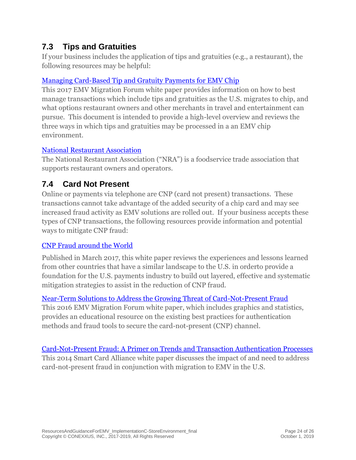### <span id="page-23-0"></span>**7.3 Tips and Gratuities**

If your business includes the application of tips and gratuities (e.g., a restaurant), the following resources may be helpful:

### [Managing Card-Based Tip and Gratuity Payments for EMV Chip](http://www.emv-connection.com/managing-card-based-tip-and-gratuity-payments-for-emv-chip/)

This 2017 EMV Migration Forum white paper provides information on how to best manage transactions which include tips and gratuities as the U.S. migrates to chip, and what options restaurant owners and other merchants in travel and entertainment can pursue. This document is intended to provide a high-level overview and reviews the three ways in which tips and gratuities may be processed in a an EMV chip environment.

### [National Restaurant Association](http://www.restaurant.org/Home)

The National Restaurant Association ("NRA") is a foodservice trade association that supports restaurant owners and operators.

### <span id="page-23-1"></span>**7.4 Card Not Present**

Online or payments via telephone are CNP (card not present) transactions. These transactions cannot take advantage of the added security of a chip card and may see increased fraud activity as EMV solutions are rolled out. If your business accepts these types of CNP transactions, the following resources provide information and potential ways to mitigate CNP fraud:

### [CNP Fraud around the World](https://www.uspaymentsforum.org/cnp-fraud-around-the-world/)

Published in March 2017, this white paper reviews the experiences and lessons learned from other countries that have a similar landscape to the U.S. in orderto provide a foundation for the U.S. payments industry to build out layered, effective and systematic mitigation strategies to assist in the reduction of CNP fraud.

### [Near-Term Solutions to Address the Growing Threat of Card-Not-Present Fraud](http://www.emv-connection.com/near-term-solutions-to-address-the-growing-threat-of-card-not-present-fraud/)

This 2016 EMV Migration Forum white paper, which includes graphics and statistics, provides an educational resource on the existing best practices for authentication methods and fraud tools to secure the card-not-present (CNP) channel.

Card-Not-Present Fraud: A Primer [on Trends and Transaction Authentication Processes](http://www.emv-connection.com/card-not-present-fraud-a-primer-on-trends-and-transaction-authentication-processes/) This 2014 Smart Card Alliance white paper discusses the impact of and need to address card-not-present fraud in conjunction with migration to EMV in the U.S.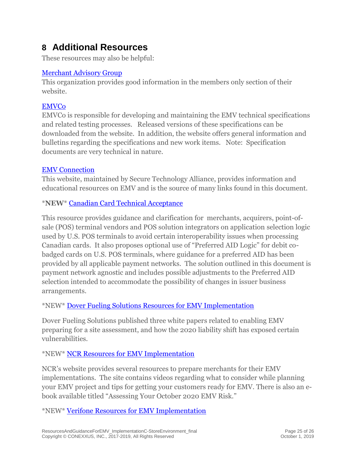# <span id="page-24-0"></span>**8 Additional Resources**

These resources may also be helpful:

### [Merchant Advisory Group](http://www.merchantadvisorygroup.org/)

This organization provides good information in the members only section of their website.

### **[EMVCo](https://www.emvco.com/)**

EMVCo is responsible for developing and maintaining the EMV technical specifications and related testing processes. Released versions of these specifications can be downloaded from the website. In addition, the website offers general information and bulletins regarding the specifications and new work items. Note: Specification documents are very technical in nature.

### [EMV Connection](http://www.emv-connection.com/)

This website, maintained by Secure Technology Alliance, provides information and educational resources on EMV and is the source of many links found in this document.

### \***NEW**\* [Canadian Card Technical Acceptance](https://www.uspaymentsforum.org/canadian-card-technical-acceptance/)

This resource provides guidance and clarification for merchants, acquirers, point-ofsale (POS) terminal vendors and POS solution integrators on application selection logic used by U.S. POS terminals to avoid certain interoperability issues when processing Canadian cards. It also proposes optional use of "Preferred AID Logic" for debit cobadged cards on U.S. POS terminals, where guidance for a preferred AID has been provided by all applicable payment networks. The solution outlined in this document is payment network agnostic and includes possible adjustments to the Preferred AID selection intended to accommodate the possibility of changes in issuer business arrangements.

### \*NEW\* [Dover Fueling Solutions Resources for EMV Implementation](https://pages.services/emv.doverfuelingsolutions.com/emvmicrosite)

Dover Fueling Solutions published three white papers related to enabling EMV preparing for a site assessment, and how the 2020 liability shift has exposed certain vulnerabilities.

### \*NEW\* [NCR Resources for EMV Implementation](https://www.ncr.com/retail/convenience-fuel-retail/outdoor-payment-terminals/stop-fraud)

NCR's website provides several resources to prepare merchants for their EMV implementations. The site contains videos regarding what to consider while planning your EMV project and tips for getting your customers ready for EMV. There is also an ebook available titled "Assessing Your October 2020 EMV Risk."

\*NEW\* [Verifone Resources for EMV Implementation](https://www.verifone.com/en/us/emv)